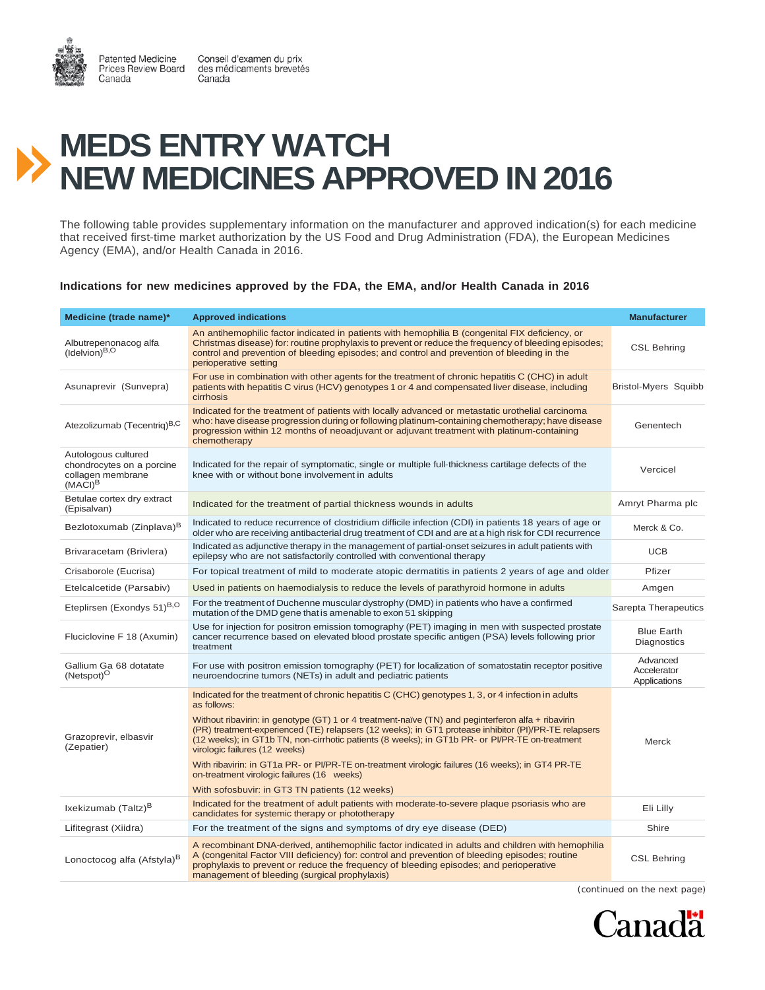

Conseil d'examen du prix des médicaments brevetés Canada

## **MEDS ENTRY WATCH NEW MEDICINES APPROVED IN 2016**

The following table provides supplementary information on the manufacturer and approved indication(s) for each medicine that received first-time market authorization by the US Food and Drug Administration (FDA), the European Medicines Agency (EMA), and/or Health Canada in 2016.

## **Indications for new medicines approved by the FDA, the EMA, and/or Health Canada in 2016**

| Medicine (trade name)*                                                              | <b>Approved indications</b>                                                                                                                                                                                                                                                                                                                     | <b>Manufacturer</b>                     |
|-------------------------------------------------------------------------------------|-------------------------------------------------------------------------------------------------------------------------------------------------------------------------------------------------------------------------------------------------------------------------------------------------------------------------------------------------|-----------------------------------------|
| Albutrepenonacog alfa<br>$($ Idelvion $)^{B,O}$                                     | An antihemophilic factor indicated in patients with hemophilia B (congenital FIX deficiency, or<br>Christmas disease) for: routine prophylaxis to prevent or reduce the frequency of bleeding episodes;<br>control and prevention of bleeding episodes; and control and prevention of bleeding in the<br>perioperative setting                  | <b>CSL Behring</b>                      |
| Asunaprevir (Sunvepra)                                                              | For use in combination with other agents for the treatment of chronic hepatitis C (CHC) in adult<br>patients with hepatitis C virus (HCV) genotypes 1 or 4 and compensated liver disease, including<br>cirrhosis                                                                                                                                | Bristol-Myers Squibb                    |
| Atezolizumab (Tecentriq) <sup>B,C</sup>                                             | Indicated for the treatment of patients with locally advanced or metastatic urothelial carcinoma<br>who: have disease progression during or following platinum-containing chemotherapy; have disease<br>progression within 12 months of neoadjuvant or adjuvant treatment with platinum-containing<br>chemotherapy                              | Genentech                               |
| Autologous cultured<br>chondrocytes on a porcine<br>collagen membrane<br>$(MACI)^B$ | Indicated for the repair of symptomatic, single or multiple full-thickness cartilage defects of the<br>knee with or without bone involvement in adults                                                                                                                                                                                          | Vercicel                                |
| Betulae cortex dry extract<br>(Episalvan)                                           | Indicated for the treatment of partial thickness wounds in adults                                                                                                                                                                                                                                                                               | Amryt Pharma plc                        |
| Bezlotoxumab (Zinplava) <sup>B</sup>                                                | Indicated to reduce recurrence of clostridium difficile infection (CDI) in patients 18 years of age or<br>older who are receiving antibacterial drug treatment of CDI and are at a high risk for CDI recurrence                                                                                                                                 | Merck & Co.                             |
| Brivaracetam (Brivlera)                                                             | Indicated as adjunctive therapy in the management of partial-onset seizures in adult patients with<br>epilepsy who are not satisfactorily controlled with conventional therapy                                                                                                                                                                  | <b>UCB</b>                              |
| Crisaborole (Eucrisa)                                                               | For topical treatment of mild to moderate atopic dermatitis in patients 2 years of age and older                                                                                                                                                                                                                                                | Pfizer                                  |
| Etelcalcetide (Parsabiv)                                                            | Used in patients on haemodialysis to reduce the levels of parathyroid hormone in adults                                                                                                                                                                                                                                                         | Amgen                                   |
| Eteplirsen (Exondys 51)B,O                                                          | For the treatment of Duchenne muscular dystrophy (DMD) in patients who have a confirmed<br>mutation of the DMD gene that is amenable to exon 51 skipping                                                                                                                                                                                        | Sarepta Therapeutics                    |
| Fluciclovine F 18 (Axumin)                                                          | Use for injection for positron emission tomography (PET) imaging in men with suspected prostate<br>cancer recurrence based on elevated blood prostate specific antigen (PSA) levels following prior<br>treatment                                                                                                                                | <b>Blue Earth</b><br><b>Diagnostics</b> |
| Gallium Ga 68 dotatate<br>(Netspot) <sup>O</sup>                                    | For use with positron emission tomography (PET) for localization of somatostatin receptor positive<br>neuroendocrine tumors (NETs) in adult and pediatric patients                                                                                                                                                                              | Advanced<br>Accelerator<br>Applications |
|                                                                                     | Indicated for the treatment of chronic hepatitis C (CHC) genotypes 1, 3, or 4 infection in adults<br>as follows:<br>Without ribavirin: in genotype (GT) 1 or 4 treatment-naïve (TN) and peginterferon alfa + ribavirin                                                                                                                          |                                         |
| Grazoprevir, elbasvir<br>(Zepatier)                                                 | (PR) treatment-experienced (TE) relapsers (12 weeks); in GT1 protease inhibitor (PI)/PR-TE relapsers<br>(12 weeks); in GT1b TN, non-cirrhotic patients (8 weeks); in GT1b PR- or PI/PR-TE on-treatment<br>virologic failures (12 weeks)                                                                                                         | Merck                                   |
|                                                                                     | With ribavirin: in GT1a PR- or PI/PR-TE on-treatment virologic failures (16 weeks); in GT4 PR-TE<br>on-treatment virologic failures (16 weeks)                                                                                                                                                                                                  |                                         |
|                                                                                     | With sofosbuvir: in GT3 TN patients (12 weeks)                                                                                                                                                                                                                                                                                                  |                                         |
| Ixekizumab (Taltz) <sup>B</sup>                                                     | Indicated for the treatment of adult patients with moderate-to-severe plaque psoriasis who are<br>candidates for systemic therapy or phototherapy                                                                                                                                                                                               | Eli Lilly                               |
| Lifitegrast (Xiidra)                                                                | For the treatment of the signs and symptoms of dry eye disease (DED)                                                                                                                                                                                                                                                                            | Shire                                   |
| Lonoctocog alfa (Afstyla) <sup>B</sup>                                              | A recombinant DNA-derived, antihemophilic factor indicated in adults and children with hemophilia<br>A (congenital Factor VIII deficiency) for: control and prevention of bleeding episodes; routine<br>prophylaxis to prevent or reduce the frequency of bleeding episodes; and perioperative<br>management of bleeding (surgical prophylaxis) | <b>CSL Behring</b>                      |

*(continued on the next page)*